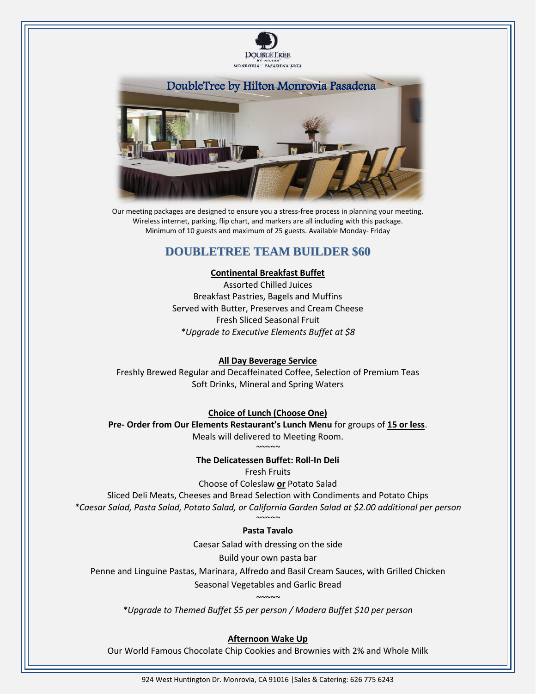



Our meeting packages are designed to ensure you a stress-free process in planning your meeting. Wireless internet, parking, flip chart, and markers are all including with this package. Minimum of 10 guests and maximum of 25 guests. Available Monday- Friday

# **DOUBLETREE TEAM BUILDER \$60**

#### **Continental Breakfast Buffet**

Assorted Chilled Juices Breakfast Pastries, Bagels and Muffins Served with Butter, Preserves and Cream Cheese Fresh Sliced Seasonal Fruit *\*Upgrade to Executive Elements Buffet at \$8*

#### **All Day Beverage Service**

Freshly Brewed Regular and Decaffeinated Coffee, Selection of Premium Teas Soft Drinks, Mineral and Spring Waters

**Choice of Lunch (Choose One)**

**Pre- Order from Our Elements Restaurant's Lunch Menu** for groups of **15 or less**. Meals will delivered to Meeting Room.

> *~~~~~* **The Delicatessen Buffet: Roll-In Deli**  Fresh Fruits

Choose of Coleslaw **or** Potato Salad Sliced Deli Meats, Cheeses and Bread Selection with Condiments and Potato Chips *\*Caesar Salad, Pasta Salad, Potato Salad, or California Garden Salad at \$2.00 additional per person ~~~~~*

## **Pasta Tavalo**

Caesar Salad with dressing on the side

Build your own pasta bar

Penne and Linguine Pastas, Marinara, Alfredo and Basil Cream Sauces, with Grilled Chicken

Seasonal Vegetables and Garlic Bread

*~~~~~ \*Upgrade to Themed Buffet \$5 per person / Madera Buffet \$10 per person*

## **Afternoon Wake Up**

Our World Famous Chocolate Chip Cookies and Brownies with 2% and Whole Milk

924 West Huntington Dr. Monrovia, CA 91016 |Sales & Catering: 626 775 6243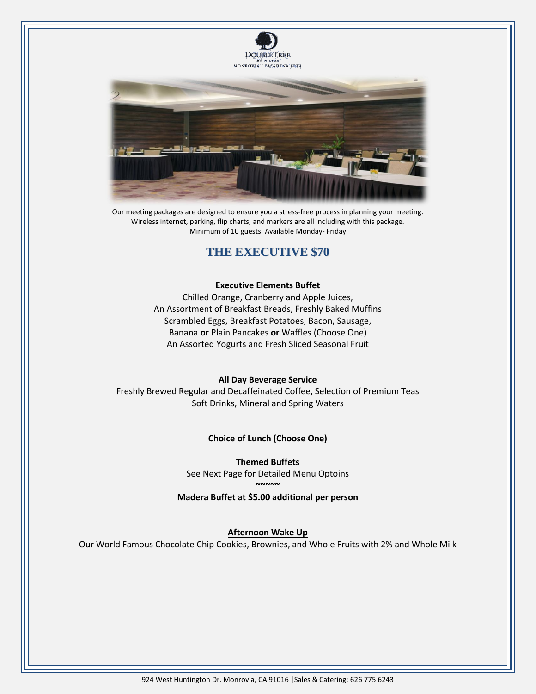



Our meeting packages are designed to ensure you a stress-free process in planning your meeting. Wireless internet, parking, flip charts, and markers are all including with this package. Minimum of 10 guests. Available Monday- Friday

# **THE EXECUTIVE \$70**

#### **Executive Elements Buffet**

Chilled Orange, Cranberry and Apple Juices, An Assortment of Breakfast Breads, Freshly Baked Muffins Scrambled Eggs, Breakfast Potatoes, Bacon, Sausage, Banana **or** Plain Pancakes **or** Waffles (Choose One) An Assorted Yogurts and Fresh Sliced Seasonal Fruit

## **All Day Beverage Service**

Freshly Brewed Regular and Decaffeinated Coffee, Selection of Premium Teas Soft Drinks, Mineral and Spring Waters

## **Choice of Lunch (Choose One)**

**Themed Buffets**  See Next Page for Detailed Menu Optoins **~~~~~**

**Madera Buffet at \$5.00 additional per person**

## **Afternoon Wake Up**

Our World Famous Chocolate Chip Cookies, Brownies, and Whole Fruits with 2% and Whole Milk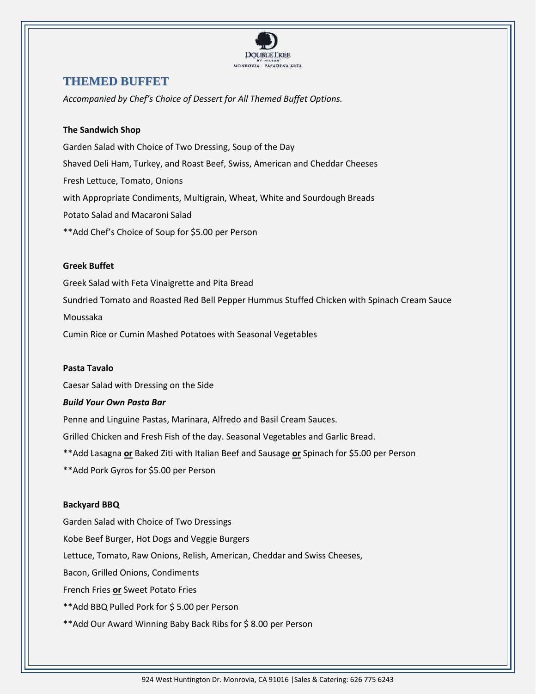

## **THEMED BUFFET**

*Accompanied by Chef's Choice of Dessert for All Themed Buffet Options.*

## **The Sandwich Shop**

Garden Salad with Choice of Two Dressing, Soup of the Day Shaved Deli Ham, Turkey, and Roast Beef, Swiss, American and Cheddar Cheeses Fresh Lettuce, Tomato, Onions with Appropriate Condiments, Multigrain, Wheat, White and Sourdough Breads Potato Salad and Macaroni Salad \*\*Add Chef's Choice of Soup for \$5.00 per Person

## **Greek Buffet**

Greek Salad with Feta Vinaigrette and Pita Bread Sundried Tomato and Roasted Red Bell Pepper Hummus Stuffed Chicken with Spinach Cream Sauce Moussaka Cumin Rice or Cumin Mashed Potatoes with Seasonal Vegetables

#### **Pasta Tavalo**

Caesar Salad with Dressing on the Side

#### *Build Your Own Pasta Bar*

Penne and Linguine Pastas, Marinara, Alfredo and Basil Cream Sauces. Grilled Chicken and Fresh Fish of the day. Seasonal Vegetables and Garlic Bread. \*\*Add Lasagna **or** Baked Ziti with Italian Beef and Sausage **or** Spinach for \$5.00 per Person \*\*Add Pork Gyros for \$5.00 per Person

#### **Backyard BBQ**

Garden Salad with Choice of Two Dressings Kobe Beef Burger, Hot Dogs and Veggie Burgers Lettuce, Tomato, Raw Onions, Relish, American, Cheddar and Swiss Cheeses, Bacon, Grilled Onions, Condiments French Fries **or** Sweet Potato Fries \*\*Add BBQ Pulled Pork for \$ 5.00 per Person \*\*Add Our Award Winning Baby Back Ribs for \$ 8.00 per Person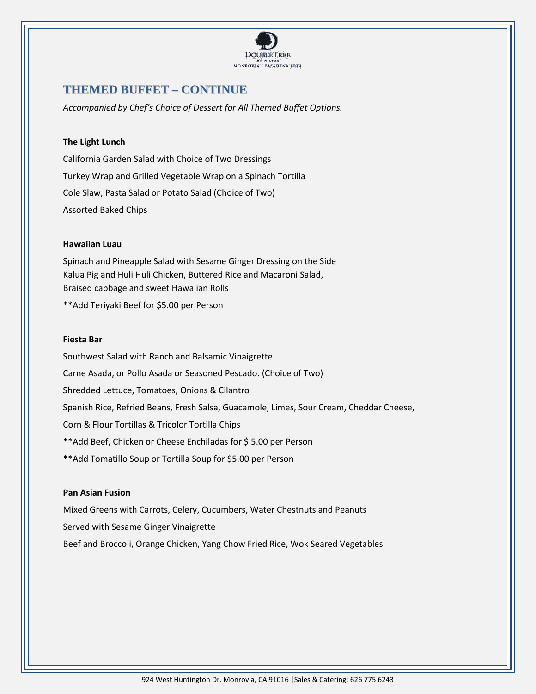

# **THEMED BUFFET – CONTINUE**

*Accompanied by Chef's Choice of Dessert for All Themed Buffet Options.*

## **The Light Lunch**

California Garden Salad with Choice of Two Dressings Turkey Wrap and Grilled Vegetable Wrap on a Spinach Tortilla Cole Slaw, Pasta Salad or Potato Salad (Choice of Two) Assorted Baked Chips

#### **Hawaiian Luau**

Spinach and Pineapple Salad with Sesame Ginger Dressing on the Side Kalua Pig and Huli Huli Chicken, Buttered Rice and Macaroni Salad, Braised cabbage and sweet Hawaiian Rolls

\*\*Add Teriyaki Beef for \$5.00 per Person

#### **Fiesta Bar**

Southwest Salad with Ranch and Balsamic Vinaigrette Carne Asada, or Pollo Asada or Seasoned Pescado. (Choice of Two) Shredded Lettuce, Tomatoes, Onions & Cilantro Spanish Rice, Refried Beans, Fresh Salsa, Guacamole, Limes, Sour Cream, Cheddar Cheese, Corn & Flour Tortillas & Tricolor Tortilla Chips \*\*Add Beef, Chicken or Cheese Enchiladas for \$ 5.00 per Person \*\*Add Tomatillo Soup or Tortilla Soup for \$5.00 per Person

#### **Pan Asian Fusion**

Mixed Greens with Carrots, Celery, Cucumbers, Water Chestnuts and Peanuts Served with Sesame Ginger Vinaigrette Beef and Broccoli, Orange Chicken, Yang Chow Fried Rice, Wok Seared Vegetables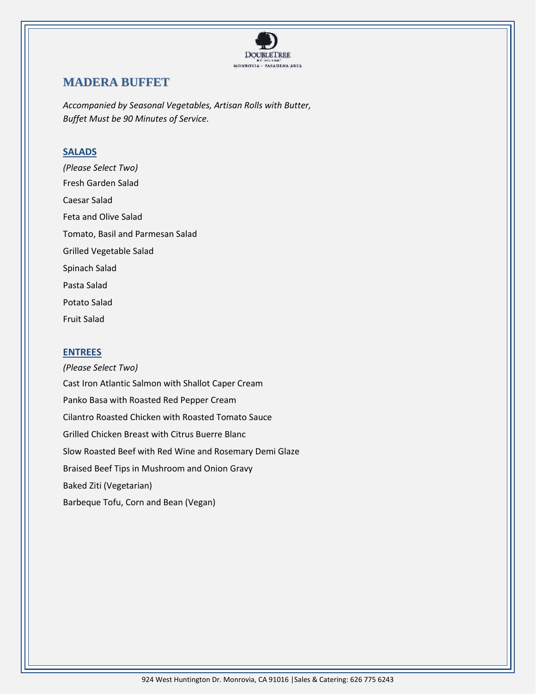

# **MADERA BUFFET**

*Accompanied by Seasonal Vegetables, Artisan Rolls with Butter, Buffet Must be 90 Minutes of Service.* 

## **SALADS**

*(Please Select Two)* Fresh Garden Salad Caesar Salad Feta and Olive Salad Tomato, Basil and Parmesan Salad Grilled Vegetable Salad Spinach Salad Pasta Salad Potato Salad Fruit Salad

## **ENTREES**

*(Please Select Two)* Cast Iron Atlantic Salmon with Shallot Caper Cream Panko Basa with Roasted Red Pepper Cream Cilantro Roasted Chicken with Roasted Tomato Sauce Grilled Chicken Breast with Citrus Buerre Blanc Slow Roasted Beef with Red Wine and Rosemary Demi Glaze Braised Beef Tips in Mushroom and Onion Gravy Baked Ziti (Vegetarian) Barbeque Tofu, Corn and Bean (Vegan)